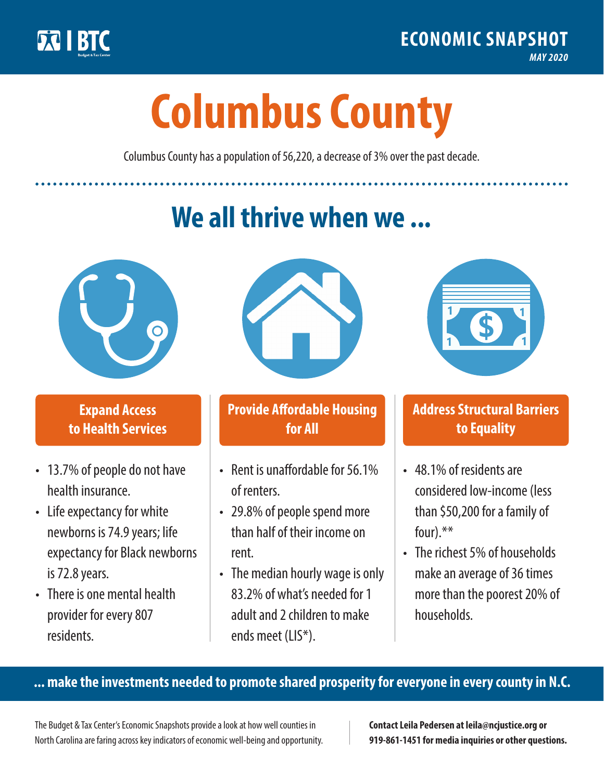

**1**

# **Columbus County**

Columbus County has a population of 56,220, a decrease of 3% over the past decade.

# **We all thrive when we ...**



**\$ <sup>1</sup>**

**\$ <sup>1</sup>**

#### **Expand Access to Health Services**

- 13.7% of people do not have health insurance.
- Life expectancy for white newborns is 74.9 years; life expectancy for Black newborns is 72.8years.
- There is one mental health provider for every 807 residents.



## **Provide Affordable Housing for All**

- Rent is unaffordable for 56 1% of renters.
- 29.8% of people spend more than half of their income on rent.
- The median hourly wage is only 83.2% of what's needed for 1 adult and 2 children to make ends meet (LIS\*).



## **Address Structural Barriers to Equality**

- 48.1% of residents are considered low-income (less than \$50,200 for a family of four).\*\*
- The richest 5% of households make an average of 36 times more than the poorest 20% of households.

#### **... make the investments needed to promote shared prosperity for everyone in every county in N.C.**

The Budget & Tax Center's Economic Snapshots provide a look at how well counties in North Carolina are faring across key indicators of economic well-being and opportunity.